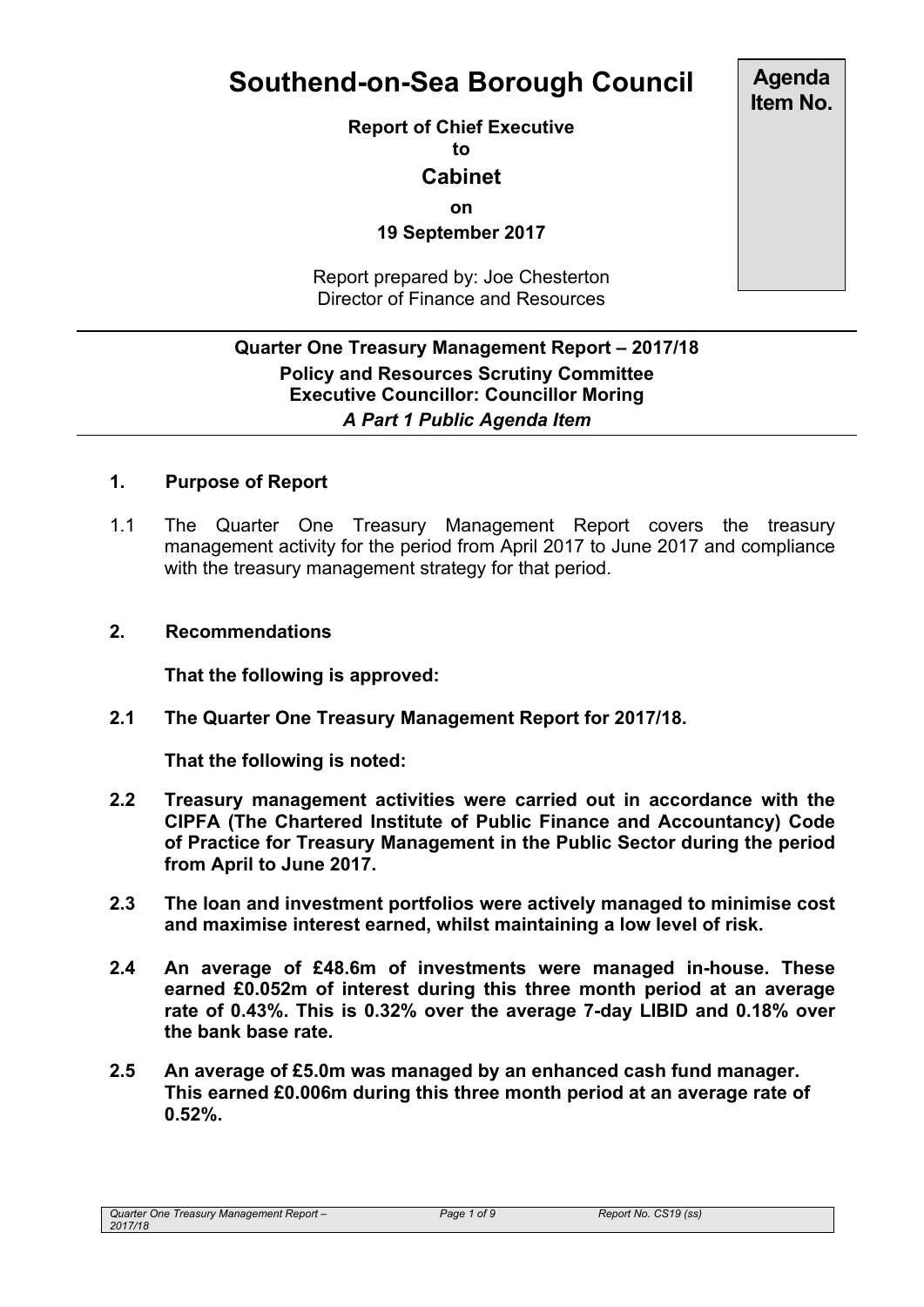# **Southend-on-Sea Borough Council**

**Report of Chief Executive**

**to**

## **Cabinet**

**on**

**19 September 2017**

Report prepared by: Joe Chesterton Director of Finance and Resources

## **Quarter One Treasury Management Report – 2017/18 Policy and Resources Scrutiny Committee Executive Councillor: Councillor Moring** *A Part 1 Public Agenda Item*

## **1. Purpose of Report**

1.1 The Quarter One Treasury Management Report covers the treasury management activity for the period from April 2017 to June 2017 and compliance with the treasury management strategy for that period.

#### **2. Recommendations**

**That the following is approved:**

**2.1 The Quarter One Treasury Management Report for 2017/18.**

**That the following is noted:**

- **2.2 Treasury management activities were carried out in accordance with the CIPFA (The Chartered Institute of Public Finance and Accountancy) Code of Practice for Treasury Management in the Public Sector during the period from April to June 2017.**
- **2.3 The loan and investment portfolios were actively managed to minimise cost and maximise interest earned, whilst maintaining a low level of risk.**
- **2.4 An average of £48.6m of investments were managed in-house. These earned £0.052m of interest during this three month period at an average rate of 0.43%. This is 0.32% over the average 7-day LIBID and 0.18% over the bank base rate.**
- **2.5 An average of £5.0m was managed by an enhanced cash fund manager. This earned £0.006m during this three month period at an average rate of 0.52%.**

**Agenda Item No.**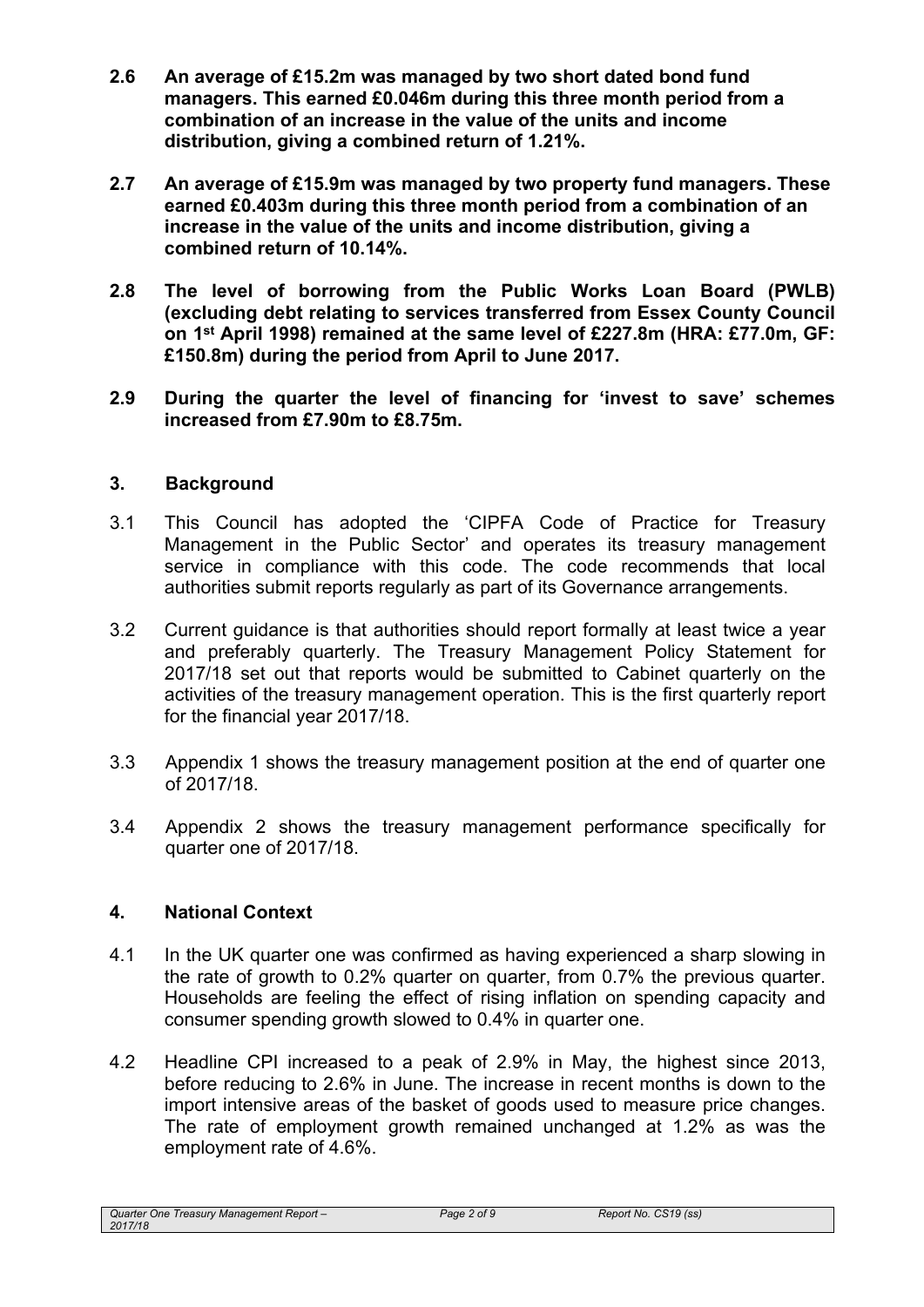- **2.6 An average of £15.2m was managed by two short dated bond fund managers. This earned £0.046m during this three month period from a combination of an increase in the value of the units and income distribution, giving a combined return of 1.21%.**
- **2.7 An average of £15.9m was managed by two property fund managers. These earned £0.403m during this three month period from a combination of an increase in the value of the units and income distribution, giving a combined return of 10.14%.**
- **2.8 The level of borrowing from the Public Works Loan Board (PWLB) (excluding debt relating to services transferred from Essex County Council on 1 st April 1998) remained at the same level of £227.8m (HRA: £77.0m, GF: £150.8m) during the period from April to June 2017.**
- **2.9 During the quarter the level of financing for 'invest to save' schemes increased from £7.90m to £8.75m.**

## **3. Background**

- 3.1 This Council has adopted the 'CIPFA Code of Practice for Treasury Management in the Public Sector' and operates its treasury management service in compliance with this code. The code recommends that local authorities submit reports regularly as part of its Governance arrangements.
- 3.2 Current guidance is that authorities should report formally at least twice a year and preferably quarterly. The Treasury Management Policy Statement for 2017/18 set out that reports would be submitted to Cabinet quarterly on the activities of the treasury management operation. This is the first quarterly report for the financial year 2017/18.
- 3.3 Appendix 1 shows the treasury management position at the end of quarter one of 2017/18.
- 3.4 Appendix 2 shows the treasury management performance specifically for quarter one of 2017/18.

## **4. National Context**

- 4.1 In the UK quarter one was confirmed as having experienced a sharp slowing in the rate of growth to 0.2% quarter on quarter, from 0.7% the previous quarter. Households are feeling the effect of rising inflation on spending capacity and consumer spending growth slowed to 0.4% in quarter one.
- 4.2 Headline CPI increased to a peak of 2.9% in May, the highest since 2013, before reducing to 2.6% in June. The increase in recent months is down to the import intensive areas of the basket of goods used to measure price changes. The rate of employment growth remained unchanged at 1.2% as was the employment rate of 4.6%.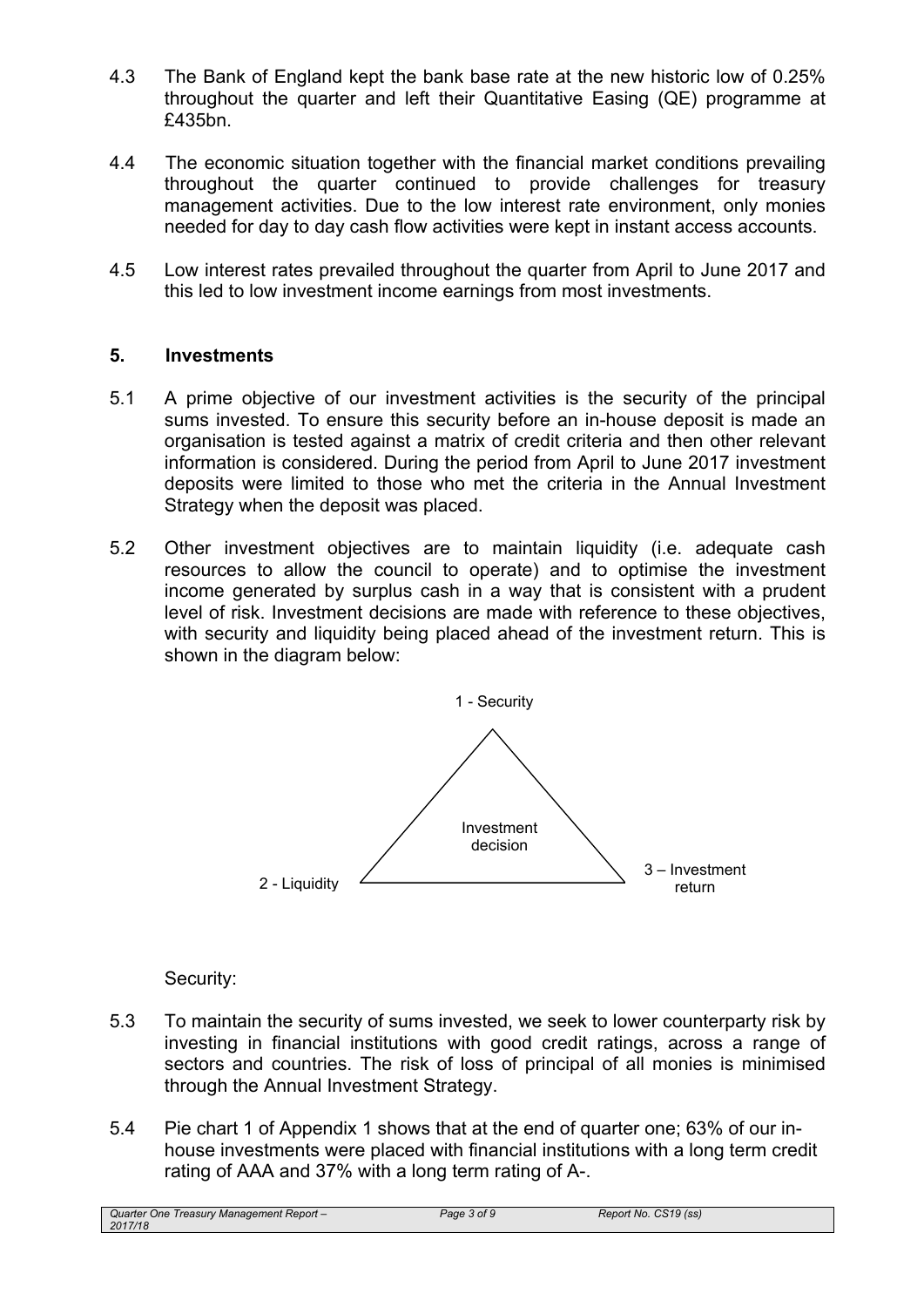- 4.3 The Bank of England kept the bank base rate at the new historic low of 0.25% throughout the quarter and left their Quantitative Easing (QE) programme at £435bn.
- 4.4 The economic situation together with the financial market conditions prevailing throughout the quarter continued to provide challenges for treasury management activities. Due to the low interest rate environment, only monies needed for day to day cash flow activities were kept in instant access accounts.
- 4.5 Low interest rates prevailed throughout the quarter from April to June 2017 and this led to low investment income earnings from most investments.

#### **5. Investments**

- 5.1 A prime objective of our investment activities is the security of the principal sums invested. To ensure this security before an in-house deposit is made an organisation is tested against a matrix of credit criteria and then other relevant information is considered. During the period from April to June 2017 investment deposits were limited to those who met the criteria in the Annual Investment Strategy when the deposit was placed.
- 5.2 Other investment objectives are to maintain liquidity (i.e. adequate cash resources to allow the council to operate) and to optimise the investment income generated by surplus cash in a way that is consistent with a prudent level of risk. Investment decisions are made with reference to these objectives, with security and liquidity being placed ahead of the investment return. This is shown in the diagram below:



## Security:

- 5.3 To maintain the security of sums invested, we seek to lower counterparty risk by investing in financial institutions with good credit ratings, across a range of sectors and countries. The risk of loss of principal of all monies is minimised through the Annual Investment Strategy.
- 5.4 Pie chart 1 of Appendix 1 shows that at the end of quarter one; 63% of our inhouse investments were placed with financial institutions with a long term credit rating of AAA and 37% with a long term rating of A-.

*Quarter One Treasury Management Report – 2017/18*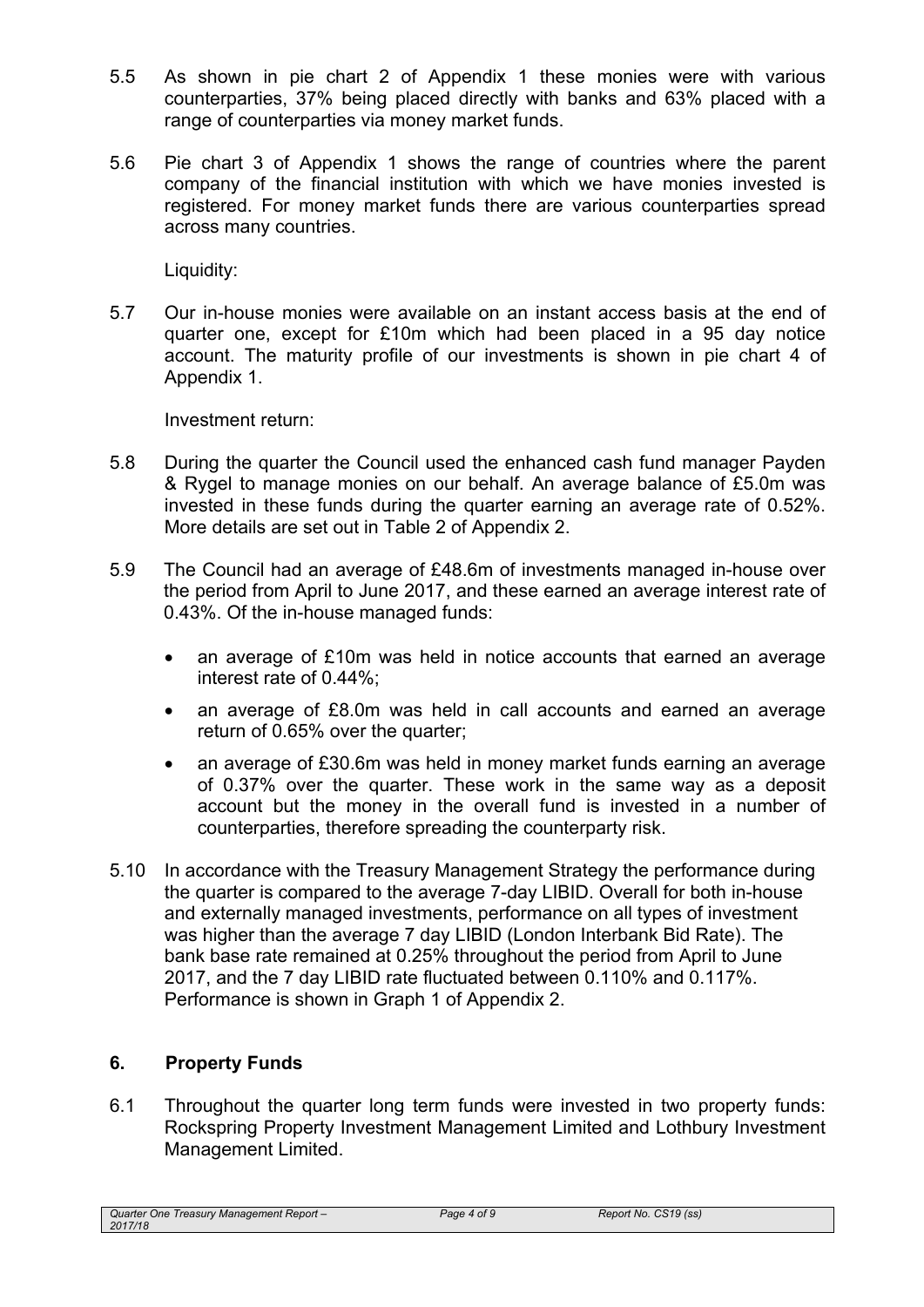- 5.5 As shown in pie chart 2 of Appendix 1 these monies were with various counterparties, 37% being placed directly with banks and 63% placed with a range of counterparties via money market funds.
- 5.6 Pie chart 3 of Appendix 1 shows the range of countries where the parent company of the financial institution with which we have monies invested is registered. For money market funds there are various counterparties spread across many countries.

Liquidity:

5.7 Our in-house monies were available on an instant access basis at the end of quarter one, except for £10m which had been placed in a 95 day notice account. The maturity profile of our investments is shown in pie chart 4 of Appendix 1.

Investment return:

- 5.8 During the quarter the Council used the enhanced cash fund manager Payden & Rygel to manage monies on our behalf. An average balance of £5.0m was invested in these funds during the quarter earning an average rate of 0.52%. More details are set out in Table 2 of Appendix 2.
- 5.9 The Council had an average of £48.6m of investments managed in-house over the period from April to June 2017, and these earned an average interest rate of 0.43%. Of the in-house managed funds:
	- an average of £10m was held in notice accounts that earned an average interest rate of 0.44%;
	- an average of £8.0m was held in call accounts and earned an average return of 0.65% over the quarter;
	- an average of £30.6m was held in money market funds earning an average of 0.37% over the quarter. These work in the same way as a deposit account but the money in the overall fund is invested in a number of counterparties, therefore spreading the counterparty risk.
- 5.10 In accordance with the Treasury Management Strategy the performance during the quarter is compared to the average 7-day LIBID. Overall for both in-house and externally managed investments, performance on all types of investment was higher than the average 7 day LIBID (London Interbank Bid Rate). The bank base rate remained at 0.25% throughout the period from April to June 2017, and the 7 day LIBID rate fluctuated between 0.110% and 0.117%. Performance is shown in Graph 1 of Appendix 2.

## **6. Property Funds**

6.1 Throughout the quarter long term funds were invested in two property funds: Rockspring Property Investment Management Limited and Lothbury Investment Management Limited.

*Quarter One Treasury Management Report – 2017/18*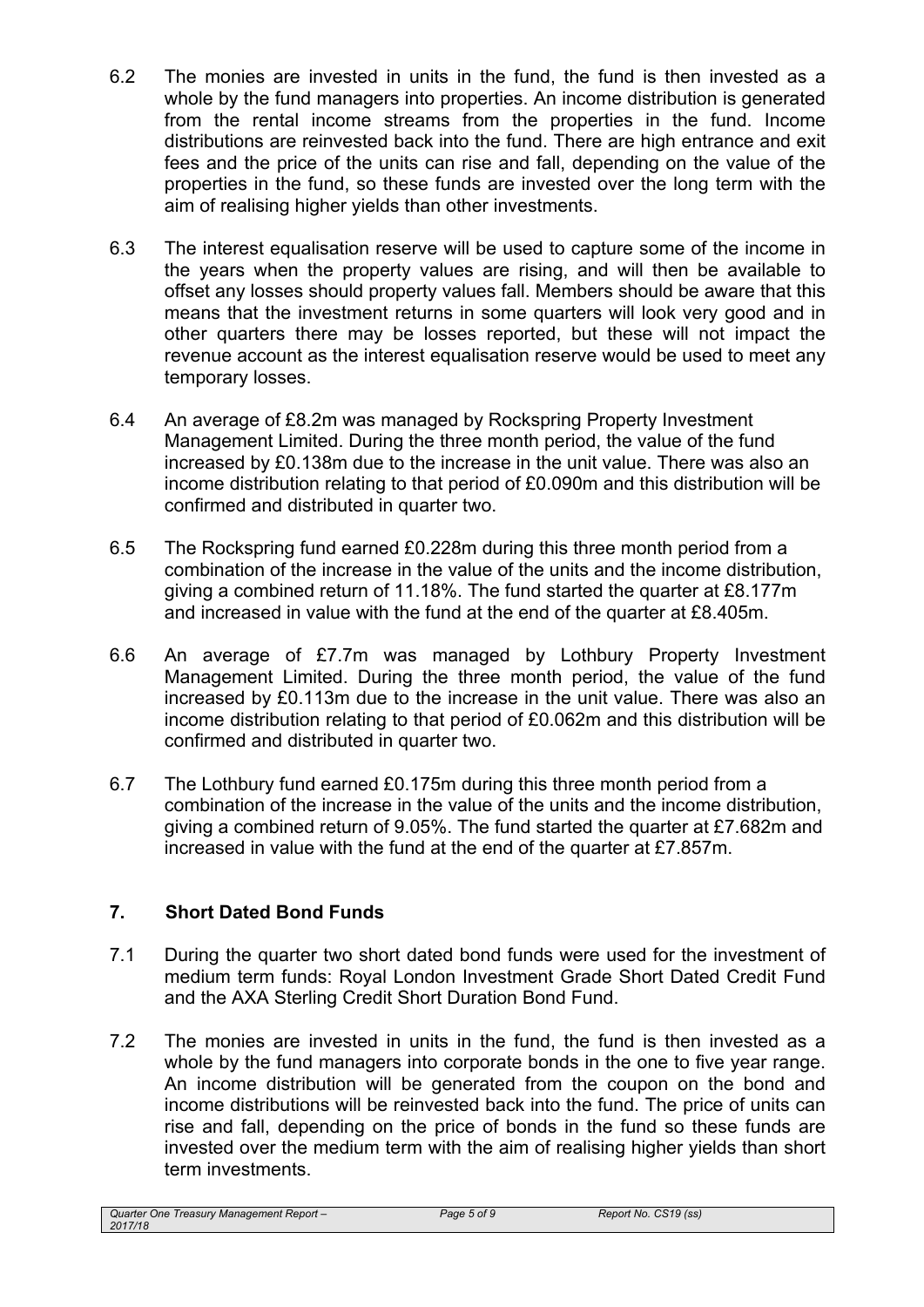- 6.2 The monies are invested in units in the fund, the fund is then invested as a whole by the fund managers into properties. An income distribution is generated from the rental income streams from the properties in the fund. Income distributions are reinvested back into the fund. There are high entrance and exit fees and the price of the units can rise and fall, depending on the value of the properties in the fund, so these funds are invested over the long term with the aim of realising higher yields than other investments.
- 6.3 The interest equalisation reserve will be used to capture some of the income in the years when the property values are rising, and will then be available to offset any losses should property values fall. Members should be aware that this means that the investment returns in some quarters will look very good and in other quarters there may be losses reported, but these will not impact the revenue account as the interest equalisation reserve would be used to meet any temporary losses.
- 6.4 An average of £8.2m was managed by Rockspring Property Investment Management Limited. During the three month period, the value of the fund increased by £0.138m due to the increase in the unit value. There was also an income distribution relating to that period of £0.090m and this distribution will be confirmed and distributed in quarter two.
- 6.5 The Rockspring fund earned £0.228m during this three month period from a combination of the increase in the value of the units and the income distribution, giving a combined return of 11.18%. The fund started the quarter at £8.177m and increased in value with the fund at the end of the quarter at £8.405m.
- 6.6 An average of £7.7m was managed by Lothbury Property Investment Management Limited. During the three month period, the value of the fund increased by £0.113m due to the increase in the unit value. There was also an income distribution relating to that period of £0.062m and this distribution will be confirmed and distributed in quarter two.
- 6.7 The Lothbury fund earned £0.175m during this three month period from a combination of the increase in the value of the units and the income distribution, giving a combined return of 9.05%. The fund started the quarter at £7.682m and increased in value with the fund at the end of the quarter at £7.857m.

## **7. Short Dated Bond Funds**

- 7.1 During the quarter two short dated bond funds were used for the investment of medium term funds: Royal London Investment Grade Short Dated Credit Fund and the AXA Sterling Credit Short Duration Bond Fund.
- 7.2 The monies are invested in units in the fund, the fund is then invested as a whole by the fund managers into corporate bonds in the one to five year range. An income distribution will be generated from the coupon on the bond and income distributions will be reinvested back into the fund. The price of units can rise and fall, depending on the price of bonds in the fund so these funds are invested over the medium term with the aim of realising higher yields than short term investments.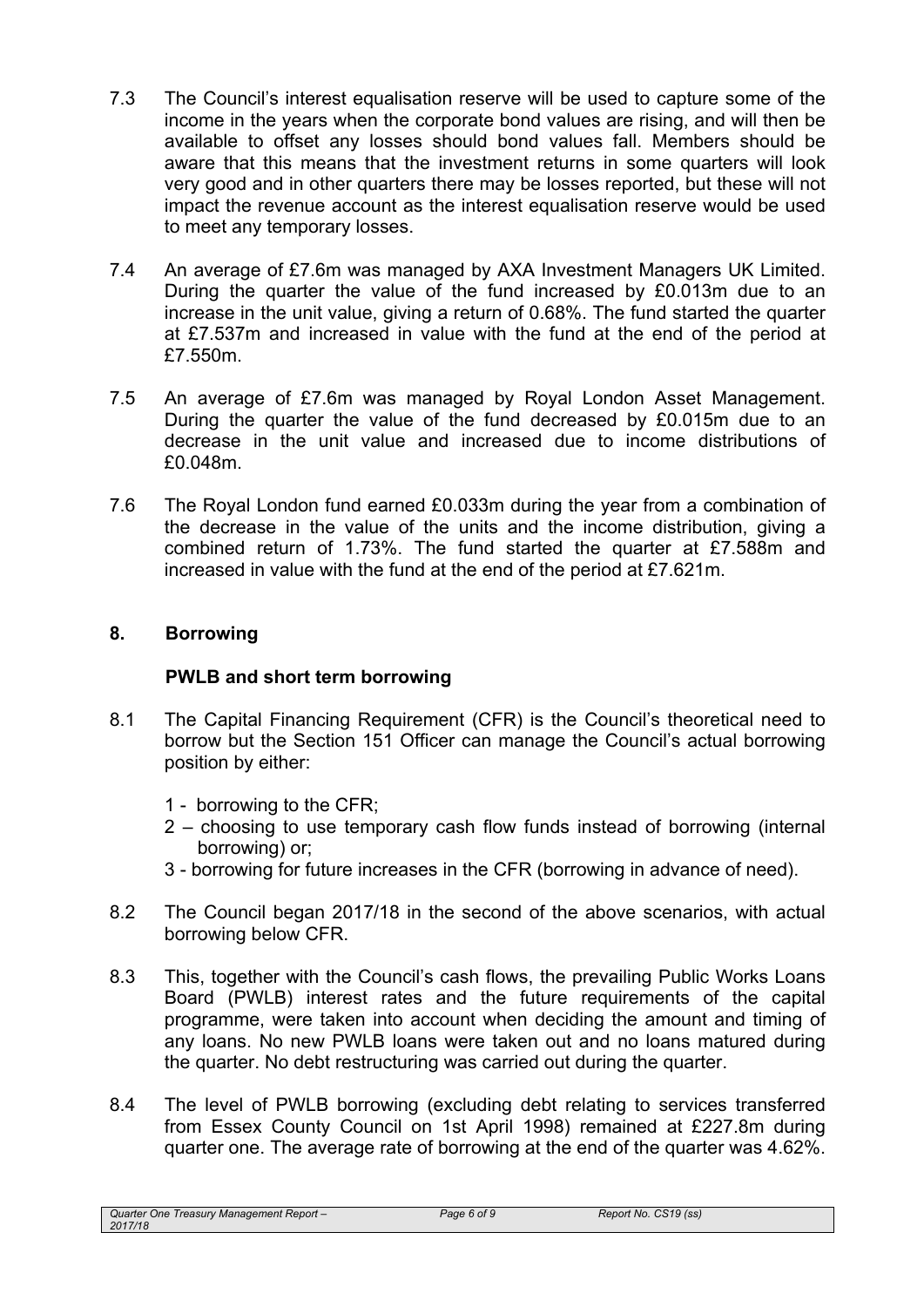- 7.3 The Council's interest equalisation reserve will be used to capture some of the income in the years when the corporate bond values are rising, and will then be available to offset any losses should bond values fall. Members should be aware that this means that the investment returns in some quarters will look very good and in other quarters there may be losses reported, but these will not impact the revenue account as the interest equalisation reserve would be used to meet any temporary losses.
- 7.4 An average of £7.6m was managed by AXA Investment Managers UK Limited. During the quarter the value of the fund increased by £0.013m due to an increase in the unit value, giving a return of 0.68%. The fund started the quarter at £7.537m and increased in value with the fund at the end of the period at £7.550m.
- 7.5 An average of £7.6m was managed by Royal London Asset Management. During the quarter the value of the fund decreased by £0.015m due to an decrease in the unit value and increased due to income distributions of £0.048m.
- 7.6 The Royal London fund earned £0.033m during the year from a combination of the decrease in the value of the units and the income distribution, giving a combined return of 1.73%. The fund started the quarter at £7.588m and increased in value with the fund at the end of the period at £7.621m.

## **8. Borrowing**

## **PWLB and short term borrowing**

- 8.1 The Capital Financing Requirement (CFR) is the Council's theoretical need to borrow but the Section 151 Officer can manage the Council's actual borrowing position by either:
	- 1 borrowing to the CFR;
	- 2 choosing to use temporary cash flow funds instead of borrowing (internal borrowing) or;
	- 3 borrowing for future increases in the CFR (borrowing in advance of need).
- 8.2 The Council began 2017/18 in the second of the above scenarios, with actual borrowing below CFR.
- 8.3 This, together with the Council's cash flows, the prevailing Public Works Loans Board (PWLB) interest rates and the future requirements of the capital programme, were taken into account when deciding the amount and timing of any loans. No new PWLB loans were taken out and no loans matured during the quarter. No debt restructuring was carried out during the quarter.
- 8.4 The level of PWLB borrowing (excluding debt relating to services transferred from Essex County Council on 1st April 1998) remained at £227.8m during quarter one. The average rate of borrowing at the end of the quarter was 4.62%.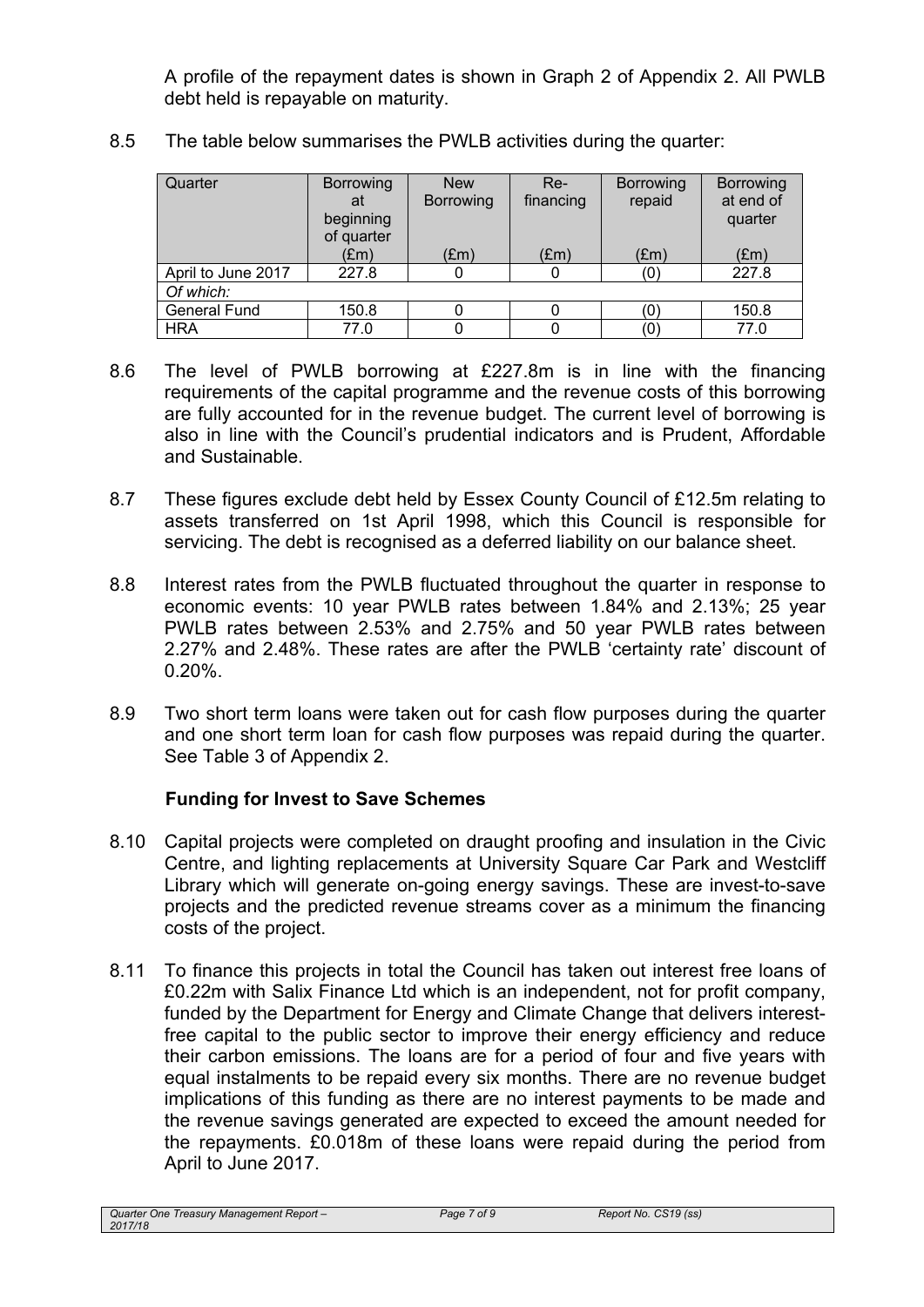A profile of the repayment dates is shown in Graph 2 of Appendix 2. All PWLB debt held is repayable on maturity.

| Quarter            | Borrowing<br>at<br>beginning<br>of quarter | <b>New</b><br><b>Borrowing</b> | $Re-$<br>financing | <b>Borrowing</b><br>repaid | Borrowing<br>at end of<br>quarter |
|--------------------|--------------------------------------------|--------------------------------|--------------------|----------------------------|-----------------------------------|
|                    | (£m)                                       | $(\text{Em})$                  | $(\text{Em})$      | (Em)                       | (Em)                              |
| April to June 2017 | 227.8                                      |                                |                    | (0)                        | 227.8                             |
| Of which:          |                                            |                                |                    |                            |                                   |
| General Fund       | 150.8                                      |                                |                    | (0)                        | 150.8                             |
| <b>HRA</b>         | 77.0                                       |                                |                    |                            | 77.0                              |

8.5 The table below summarises the PWLB activities during the quarter:

- 8.6 The level of PWLB borrowing at £227.8m is in line with the financing requirements of the capital programme and the revenue costs of this borrowing are fully accounted for in the revenue budget. The current level of borrowing is also in line with the Council's prudential indicators and is Prudent, Affordable and Sustainable.
- 8.7 These figures exclude debt held by Essex County Council of £12.5m relating to assets transferred on 1st April 1998, which this Council is responsible for servicing. The debt is recognised as a deferred liability on our balance sheet.
- 8.8 Interest rates from the PWLB fluctuated throughout the quarter in response to economic events: 10 year PWLB rates between 1.84% and 2.13%; 25 year PWLB rates between 2.53% and 2.75% and 50 year PWLB rates between 2.27% and 2.48%. These rates are after the PWLB 'certainty rate' discount of 0.20%.
- 8.9 Two short term loans were taken out for cash flow purposes during the quarter and one short term loan for cash flow purposes was repaid during the quarter. See Table 3 of Appendix 2.

## **Funding for Invest to Save Schemes**

- 8.10 Capital projects were completed on draught proofing and insulation in the Civic Centre, and lighting replacements at University Square Car Park and Westcliff Library which will generate on-going energy savings. These are invest-to-save projects and the predicted revenue streams cover as a minimum the financing costs of the project.
- 8.11 To finance this projects in total the Council has taken out interest free loans of £0.22m with Salix Finance Ltd which is an independent, not for profit company, funded by the Department for Energy and Climate Change that delivers interestfree capital to the public sector to improve their energy efficiency and reduce their carbon emissions. The loans are for a period of four and five years with equal instalments to be repaid every six months. There are no revenue budget implications of this funding as there are no interest payments to be made and the revenue savings generated are expected to exceed the amount needed for the repayments. £0.018m of these loans were repaid during the period from April to June 2017.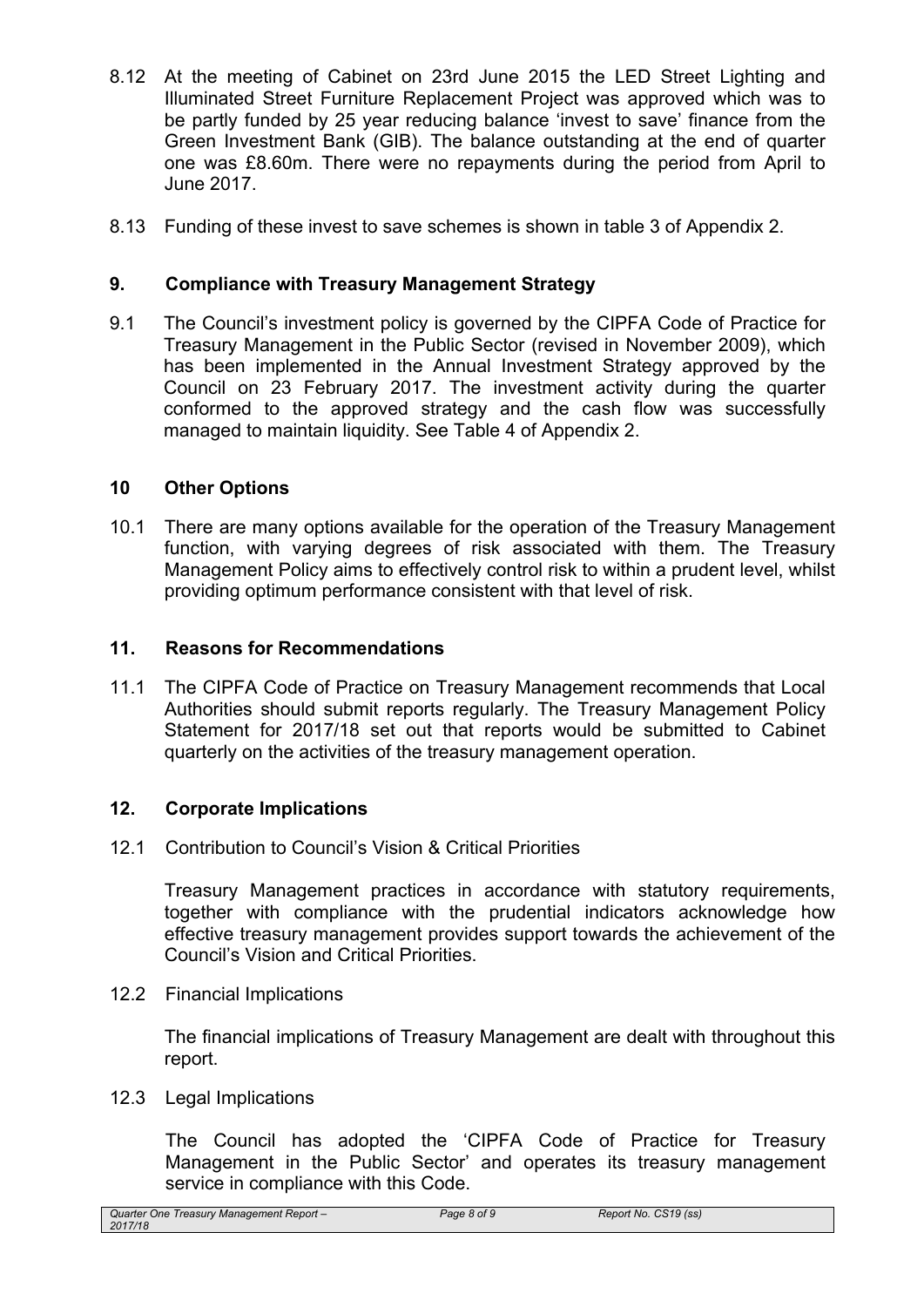- 8.12 At the meeting of Cabinet on 23rd June 2015 the LED Street Lighting and Illuminated Street Furniture Replacement Project was approved which was to be partly funded by 25 year reducing balance 'invest to save' finance from the Green Investment Bank (GIB). The balance outstanding at the end of quarter one was £8.60m. There were no repayments during the period from April to June 2017.
- 8.13 Funding of these invest to save schemes is shown in table 3 of Appendix 2.

#### **9. Compliance with Treasury Management Strategy**

9.1 The Council's investment policy is governed by the CIPFA Code of Practice for Treasury Management in the Public Sector (revised in November 2009), which has been implemented in the Annual Investment Strategy approved by the Council on 23 February 2017. The investment activity during the quarter conformed to the approved strategy and the cash flow was successfully managed to maintain liquidity. See Table 4 of Appendix 2.

#### **10 Other Options**

10.1 There are many options available for the operation of the Treasury Management function, with varying degrees of risk associated with them. The Treasury Management Policy aims to effectively control risk to within a prudent level, whilst providing optimum performance consistent with that level of risk.

#### **11. Reasons for Recommendations**

11.1 The CIPFA Code of Practice on Treasury Management recommends that Local Authorities should submit reports regularly. The Treasury Management Policy Statement for 2017/18 set out that reports would be submitted to Cabinet quarterly on the activities of the treasury management operation.

#### **12. Corporate Implications**

12.1 Contribution to Council's Vision & Critical Priorities

Treasury Management practices in accordance with statutory requirements, together with compliance with the prudential indicators acknowledge how effective treasury management provides support towards the achievement of the Council's Vision and Critical Priorities.

12.2 Financial Implications

The financial implications of Treasury Management are dealt with throughout this report.

12.3 Legal Implications

The Council has adopted the 'CIPFA Code of Practice for Treasury Management in the Public Sector' and operates its treasury management service in compliance with this Code.